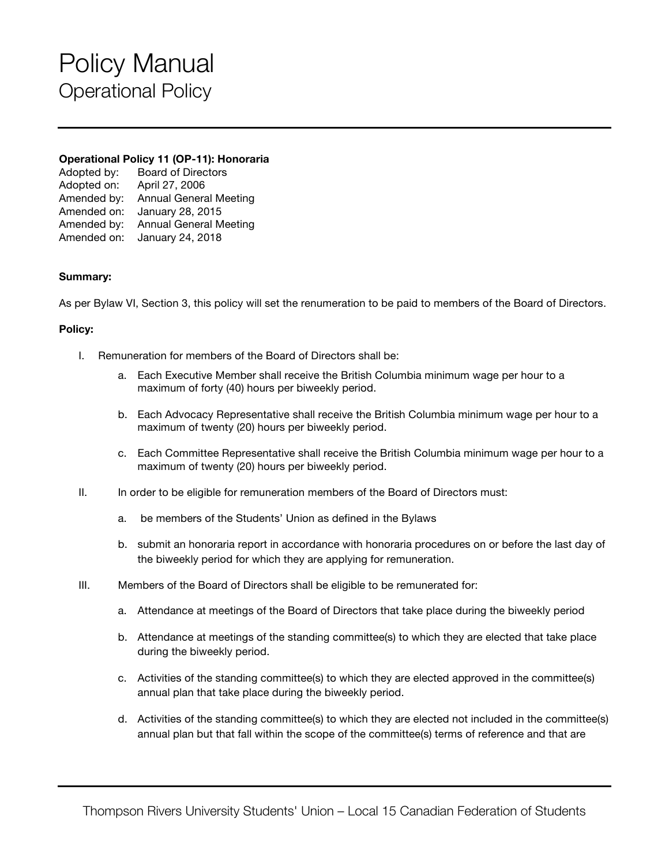# Policy Manual Operational Policy

### **Operational Policy 11 (OP-11): Honoraria**

| <b>Board of Directors</b>     |
|-------------------------------|
| April 27, 2006                |
| <b>Annual General Meeting</b> |
| January 28, 2015              |
| <b>Annual General Meeting</b> |
| January 24, 2018              |
|                               |

## **Summary:**

As per Bylaw VI, Section 3, this policy will set the renumeration to be paid to members of the Board of Directors.

#### **Policy:**

- I. Remuneration for members of the Board of Directors shall be:
	- a. Each Executive Member shall receive the British Columbia minimum wage per hour to a maximum of forty (40) hours per biweekly period.
	- b. Each Advocacy Representative shall receive the British Columbia minimum wage per hour to a maximum of twenty (20) hours per biweekly period.
	- c. Each Committee Representative shall receive the British Columbia minimum wage per hour to a maximum of twenty (20) hours per biweekly period.
- II. In order to be eligible for remuneration members of the Board of Directors must:
	- a. be members of the Students' Union as defined in the Bylaws
	- b. submit an honoraria report in accordance with honoraria procedures on or before the last day of the biweekly period for which they are applying for remuneration.
- III. Members of the Board of Directors shall be eligible to be remunerated for:
	- a. Attendance at meetings of the Board of Directors that take place during the biweekly period
	- b. Attendance at meetings of the standing committee(s) to which they are elected that take place during the biweekly period.
	- c. Activities of the standing committee(s) to which they are elected approved in the committee(s) annual plan that take place during the biweekly period.
	- d. Activities of the standing committee(s) to which they are elected not included in the committee(s) annual plan but that fall within the scope of the committee(s) terms of reference and that are